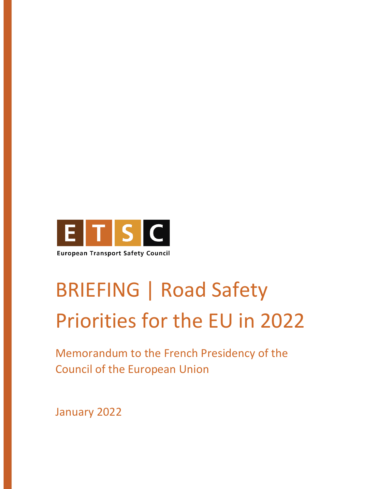

# BRIEFING | Road Safety Priorities for the EU in 2022

Memorandum to the French Presidency of the Council of the European Union

January 2022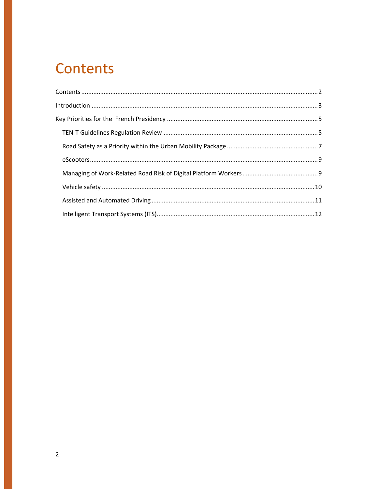### **Contents**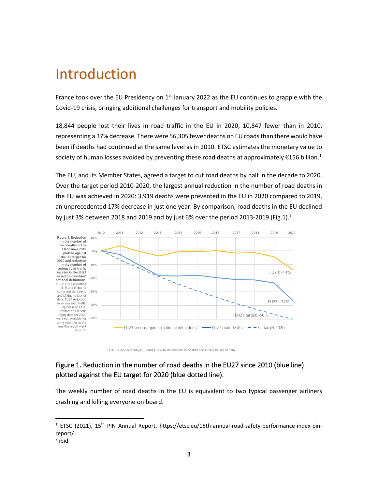### Introduction

France took over the EU Presidency on  $1<sup>st</sup>$  January 2022 as the EU continues to grapple with the Covid-19 crisis, bringing additional challenges for transport and mobility policies.

18,844 people lost their lives in road traffic in the EU in 2020, 10,847 fewer than in 2010, representing a 37% decrease. There were 56,305 fewer deaths on EU roads than there would have been if deaths had continued at the same level as in 2010. ETSC estimates the monetary value to society of human losses avoided by preventing these road deaths at approximately  $\epsilon$ 156 billion.<sup>1</sup>

The EU, and its Member States, agreed a target to cut road deaths by half in the decade to 2020. Over the target period 2010-2020, the largest annual reduction in the number of road deaths in the EU was achieved in 2020: 3,919 deaths were prevented in the EU in 2020 compared to 2019, an unprecedented 17% decrease in just one year. By comparison, road deaths in the EU declined by just 3% between 2018 and 2019 and by just 6% over the period 2013-2019 (Fig.1).<sup>2</sup>



<sup>13</sup> FU23: FU27 excluding IT. FL and IF due to inconsistent trend data and LT due to lack of data

#### Figure 1. Reduction in the number of road deaths in the EU27 since 2010 (blue line) plotted against the EU target for 2020 (blue dotted line).

The weekly number of road deaths in the EU is equivalent to two typical passenger airliners crashing and killing everyone on board.

 $1$  ETSC (2021), 15<sup>th</sup> PIN Annual Report, https://etsc.eu/15th-annual-road-safety-performance-index-pinreport/

 $<sup>2</sup>$  ibid.</sup>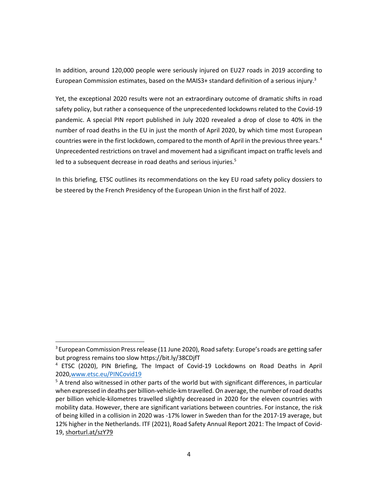In addition, around 120,000 people were seriously injured on EU27 roads in 2019 according to European Commission estimates, based on the MAIS3+ standard definition of a serious injury.<sup>3</sup>

Yet, the exceptional 2020 results were not an extraordinary outcome of dramatic shifts in road safety policy, but rather a consequence of the unprecedented lockdowns related to the Covid-19 pandemic. A special PIN report published in July 2020 revealed a drop of close to 40% in the number of road deaths in the EU in just the month of April 2020, by which time most European countries were in the first lockdown, compared to the month of April in the previous three years.<sup>4</sup> Unprecedented restrictions on travel and movement had a significant impact on traffic levels and led to a subsequent decrease in road deaths and serious injuries.<sup>5</sup>

In this briefing, ETSC outlines its recommendations on the key EU road safety policy dossiers to be steered by the French Presidency of the European Union in the first half of 2022.

 $3$  European Commission Press release (11 June 2020), Road safety: Europe's roads are getting safer but progress remains too slow https://bit.ly/38CDjfT

<sup>&</sup>lt;sup>4</sup> ETSC (2020), PIN Briefing, The Impact of Covid-19 Lockdowns on Road Deaths in April 2020,www.etsc.eu/PINCovid19

 $5$  A trend also witnessed in other parts of the world but with significant differences, in particular when expressed in deaths per billion-vehicle-km travelled. On average, the number of road deaths per billion vehicle-kilometres travelled slightly decreased in 2020 for the eleven countries with mobility data. However, there are significant variations between countries. For instance, the risk of being killed in a collision in 2020 was -17% lower in Sweden than for the 2017-19 average, but 12% higher in the Netherlands. ITF (2021), Road Safety Annual Report 2021: The Impact of Covid-19, shorturl.at/szY79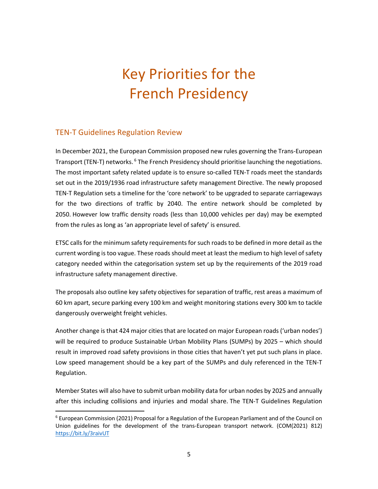## Key Priorities for the French Presidency

#### TEN-T Guidelines Regulation Review

In December 2021, the European Commission proposed new rules governing the Trans-European Transport (TEN-T) networks.<sup>6</sup> The French Presidency should prioritise launching the negotiations. The most important safety related update is to ensure so-called TEN-T roads meet the standards set out in the 2019/1936 road infrastructure safety management Directive. The newly proposed TEN-T Regulation sets a timeline for the 'core network' to be upgraded to separate carriageways for the two directions of traffic by 2040. The entire network should be completed by 2050. However low traffic density roads (less than 10,000 vehicles per day) may be exempted from the rules as long as 'an appropriate level of safety' is ensured.

ETSC calls for the minimum safety requirements for such roads to be defined in more detail as the current wording is too vague. These roads should meet at least the medium to high level of safety category needed within the categorisation system set up by the requirements of the 2019 road infrastructure safety management directive.

The proposals also outline key safety objectives for separation of traffic, rest areas a maximum of 60 km apart, secure parking every 100 km and weight monitoring stations every 300 km to tackle dangerously overweight freight vehicles.

Another change is that 424 major cities that are located on major European roads ('urban nodes') will be required to produce Sustainable Urban Mobility Plans (SUMPs) by 2025 – which should result in improved road safety provisions in those cities that haven't yet put such plans in place. Low speed management should be a key part of the SUMPs and duly referenced in the TEN-T Regulation.

Member States will also have to submit urban mobility data for urban nodes by 2025 and annually after this including collisions and injuries and modal share. The TEN-T Guidelines Regulation

 $6$  European Commission (2021) Proposal for a Regulation of the European Parliament and of the Council on Union guidelines for the development of the trans-European transport network. (COM(2021) 812) https://bit.ly/3raivUT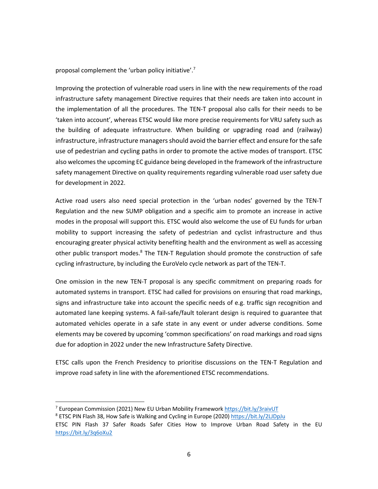proposal complement the 'urban policy initiative'.7

Improving the protection of vulnerable road users in line with the new requirements of the road infrastructure safety management Directive requires that their needs are taken into account in the implementation of all the procedures. The TEN-T proposal also calls for their needs to be 'taken into account', whereas ETSC would like more precise requirements for VRU safety such as the building of adequate infrastructure. When building or upgrading road and (railway) infrastructure, infrastructure managers should avoid the barrier effect and ensure for the safe use of pedestrian and cycling paths in order to promote the active modes of transport. ETSC also welcomesthe upcoming EC guidance being developed in the framework of the infrastructure safety management Directive on quality requirements regarding vulnerable road user safety due for development in 2022.

Active road users also need special protection in the 'urban nodes' governed by the TEN-T Regulation and the new SUMP obligation and a specific aim to promote an increase in active modes in the proposal will support this. ETSC would also welcome the use of EU funds for urban mobility to support increasing the safety of pedestrian and cyclist infrastructure and thus encouraging greater physical activity benefiting health and the environment as well as accessing other public transport modes.<sup>8</sup> The TEN-T Regulation should promote the construction of safe cycling infrastructure, by including the EuroVelo cycle network as part of the TEN-T.

One omission in the new TEN-T proposal is any specific commitment on preparing roads for automated systems in transport. ETSC had called for provisions on ensuring that road markings, signs and infrastructure take into account the specific needs of e.g. traffic sign recognition and automated lane keeping systems. A fail-safe/fault tolerant design is required to guarantee that automated vehicles operate in a safe state in any event or under adverse conditions. Some elements may be covered by upcoming 'common specifications' on road markings and road signs due for adoption in 2022 under the new Infrastructure Safety Directive.

ETSC calls upon the French Presidency to prioritise discussions on the TEN-T Regulation and improve road safety in line with the aforementioned ETSC recommendations.

<sup>&</sup>lt;sup>7</sup> European Commission (2021) New EU Urban Mobility Framework https://bit.ly/3raivUT

<sup>&</sup>lt;sup>8</sup> ETSC PIN Flash 38, How Safe is Walking and Cycling in Europe (2020) https://bit.ly/2LJDpJu

ETSC PIN Flash 37 Safer Roads Safer Cities How to Improve Urban Road Safety in the EU https://bit.ly/3q6oXu2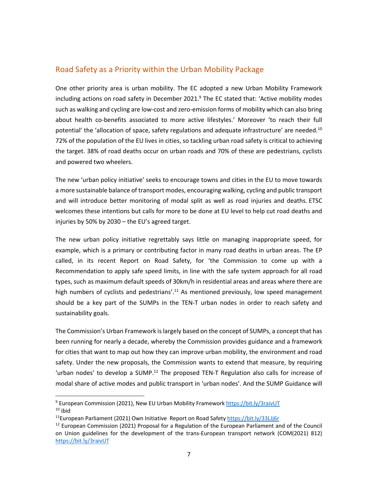#### Road Safety as a Priority within the Urban Mobility Package

One other priority area is urban mobility. The EC adopted a new Urban Mobility Framework including actions on road safety in December 2021. <sup>9</sup> The EC stated that: 'Active mobility modes such as walking and cycling are low-cost and zero-emission forms of mobility which can also bring about health co-benefits associated to more active lifestyles.' Moreover 'to reach their full potential' the 'allocation of space, safety regulations and adequate infrastructure' are needed.<sup>10</sup> 72% of the population of the EU lives in cities, so tackling urban road safety is critical to achieving the target. 38% of road deaths occur on urban roads and 70% of these are pedestrians, cyclists and powered two wheelers.

The new 'urban policy initiative' seeks to encourage towns and cities in the EU to move towards a more sustainable balance of transport modes, encouraging walking, cycling and public transport and will introduce better monitoring of modal split as well as road injuries and deaths. ETSC welcomes these intentions but calls for more to be done at EU level to help cut road deaths and injuries by 50% by 2030 – the EU's agreed target.

The new urban policy initiative regrettably says little on managing inappropriate speed, for example, which is a primary or contributing factor in many road deaths in urban areas. The EP called, in its recent Report on Road Safety, for 'the Commission to come up with a Recommendation to apply safe speed limits, in line with the safe system approach for all road types, such as maximum default speeds of 30km/h in residential areas and areas where there are high numbers of cyclists and pedestrians'.<sup>11</sup> As mentioned previously, low speed management should be a key part of the SUMPs in the TEN-T urban nodes in order to reach safety and sustainability goals.

The Commission's Urban Framework is largely based on the concept of SUMPs, a concept that has been running for nearly a decade, whereby the Commission provides guidance and a framework for cities that want to map out how they can improve urban mobility, the environment and road safety. Under the new proposals, the Commission wants to extend that measure, by requiring 'urban nodes' to develop a SUMP.<sup>12</sup> The proposed TEN-T Regulation also calls for increase of modal share of active modes and public transport in 'urban nodes'. And the SUMP Guidance will

<sup>9</sup> European Commission (2021), New EU Urban Mobility Framework https://bit.ly/3raivUT  $10$  ibid

<sup>&</sup>lt;sup>11</sup>European Parliament (2021) Own Initiative Report on Road Safety https://bit.ly/33LJj6r

 $12$  European Commission (2021) Proposal for a Regulation of the European Parliament and of the Council on Union guidelines for the development of the trans-European transport network (COM(2021) 812) https://bit.ly/3raivUT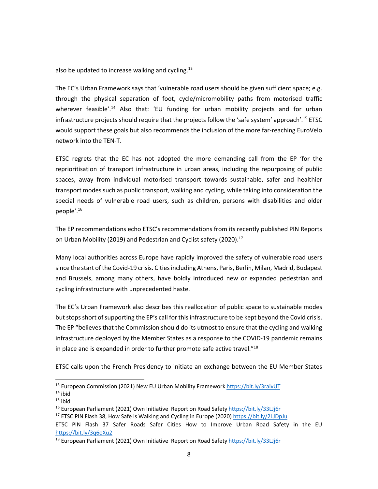also be updated to increase walking and cycling. $^{13}$ 

The EC's Urban Framework says that 'vulnerable road users should be given sufficient space; e.g. through the physical separation of foot, cycle/micromobility paths from motorised traffic wherever feasible'.<sup>14</sup> Also that: 'EU funding for urban mobility projects and for urban infrastructure projects should require that the projects follow the 'safe system' approach'. <sup>15</sup> ETSC would support these goals but also recommends the inclusion of the more far-reaching EuroVelo network into the TEN-T.

ETSC regrets that the EC has not adopted the more demanding call from the EP 'for the reprioritisation of transport infrastructure in urban areas, including the repurposing of public spaces, away from individual motorised transport towards sustainable, safer and healthier transport modes such as public transport, walking and cycling, while taking into consideration the special needs of vulnerable road users, such as children, persons with disabilities and older people'. 16

The EP recommendations echo ETSC's recommendations from its recently published PIN Reports on Urban Mobility (2019) and Pedestrian and Cyclist safety (2020).<sup>17</sup>

Many local authorities across Europe have rapidly improved the safety of vulnerable road users since the start of the Covid-19 crisis. Cities including Athens, Paris, Berlin, Milan, Madrid, Budapest and Brussels, among many others, have boldly introduced new or expanded pedestrian and cycling infrastructure with unprecedented haste.

The EC's Urban Framework also describes this reallocation of public space to sustainable modes but stops short of supporting the EP's call for this infrastructure to be kept beyond the Covid crisis. The EP "believes that the Commission should do its utmost to ensure that the cycling and walking infrastructure deployed by the Member States as a response to the COVID-19 pandemic remains in place and is expanded in order to further promote safe active travel."18

ETSC calls upon the French Presidency to initiate an exchange between the EU Member States

<sup>&</sup>lt;sup>13</sup> European Commission (2021) New EU Urban Mobility Framework https://bit.ly/3raivUT

 $14$  ibid

 $15$  ibid

 $16$  European Parliament (2021) Own Initiative Report on Road Safety https://bit.ly/33LJj6r

<sup>&</sup>lt;sup>17</sup> ETSC PIN Flash 38, How Safe is Walking and Cycling in Europe (2020) https://bit.ly/2LJDpJu

ETSC PIN Flash 37 Safer Roads Safer Cities How to Improve Urban Road Safety in the EU https://bit.ly/3q6oXu2

<sup>&</sup>lt;sup>18</sup> European Parliament (2021) Own Initiative Report on Road Safety https://bit.ly/33LJj6r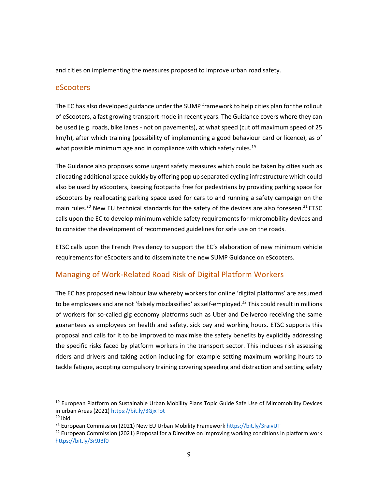and cities on implementing the measures proposed to improve urban road safety.

#### eScooters

The EC has also developed guidance under the SUMP framework to help cities plan for the rollout of eScooters, a fast growing transport mode in recent years. The Guidance covers where they can be used (e.g. roads, bike lanes - not on pavements), at what speed (cut off maximum speed of 25 km/h), after which training (possibility of implementing a good behaviour card or licence), as of what possible minimum age and in compliance with which safety rules.<sup>19</sup>

The Guidance also proposes some urgent safety measures which could be taken by cities such as allocating additional space quickly by offering pop up separated cycling infrastructure which could also be used by eScooters, keeping footpaths free for pedestrians by providing parking space for eScooters by reallocating parking space used for cars to and running a safety campaign on the main rules.<sup>20</sup> New EU technical standards for the safety of the devices are also foreseen.<sup>21</sup> ETSC calls upon the EC to develop minimum vehicle safety requirements for micromobility devices and to consider the development of recommended guidelines for safe use on the roads.

ETSC calls upon the French Presidency to support the EC's elaboration of new minimum vehicle requirements for eScooters and to disseminate the new SUMP Guidance on eScooters.

#### Managing of Work-Related Road Risk of Digital Platform Workers

The EC has proposed new labour law whereby workers for online 'digital platforms' are assumed to be employees and are not 'falsely misclassified' as self-employed.<sup>22</sup> This could result in millions of workers for so-called gig economy platforms such as Uber and Deliveroo receiving the same guarantees as employees on health and safety, sick pay and working hours. ETSC supports this proposal and calls for it to be improved to maximise the safety benefits by explicitly addressing the specific risks faced by platform workers in the transport sector. This includes risk assessing riders and drivers and taking action including for example setting maximum working hours to tackle fatigue, adopting compulsory training covering speeding and distraction and setting safety

<sup>&</sup>lt;sup>19</sup> European Platform on Sustainable Urban Mobility Plans Topic Guide Safe Use of Mircomobility Devices in urban Areas (2021) https://bit.ly/3GjxTot

 $20$  ibid

 $21$  European Commission (2021) New EU Urban Mobility Framework https://bit.ly/3raivUT

 $^{22}$  European Commission (2021) Proposal for a Directive on improving working conditions in platform work https://bit.ly/3r9JBf0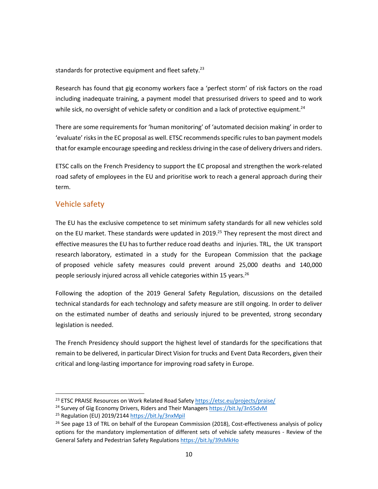standards for protective equipment and fleet safety. $^{23}$ 

Research has found that gig economy workers face a 'perfect storm' of risk factors on the road including inadequate training, a payment model that pressurised drivers to speed and to work while sick, no oversight of vehicle safety or condition and a lack of protective equipment.<sup>24</sup>

There are some requirements for 'human monitoring' of 'automated decision making' in order to 'evaluate' risks in the EC proposal as well. ETSC recommends specific rules to ban payment models that for example encourage speeding and reckless driving in the case of delivery drivers and riders.

ETSC calls on the French Presidency to support the EC proposal and strengthen the work-related road safety of employees in the EU and prioritise work to reach a general approach during their term.

#### Vehicle safety

The EU has the exclusive competence to set minimum safety standards for all new vehicles sold on the EU market. These standards were updated in 2019.<sup>25</sup> They represent the most direct and effective measures the EU has to further reduce road deaths and injuries. TRL, the UK transport research laboratory, estimated in a study for the European Commission that the package of proposed vehicle safety measures could prevent around 25,000 deaths and 140,000 people seriously injured across all vehicle categories within 15 years.<sup>26</sup>

Following the adoption of the 2019 General Safety Regulation, discussions on the detailed technical standards for each technology and safety measure are still ongoing. In order to deliver on the estimated number of deaths and seriously injured to be prevented, strong secondary legislation is needed.

The French Presidency should support the highest level of standards for the specifications that remain to be delivered, in particular Direct Vision for trucks and Event Data Recorders, given their critical and long-lasting importance for improving road safety in Europe.

<sup>&</sup>lt;sup>23</sup> ETSC PRAISE Resources on Work Related Road Safety https://etsc.eu/projects/praise/

<sup>&</sup>lt;sup>24</sup> Survey of Gig Economy Drivers, Riders and Their Managers https://bit.ly/3nS5dvM

<sup>25</sup> Regulation (EU) 2019/2144 https://bit.ly/3nxMpil

<sup>&</sup>lt;sup>26</sup> See page 13 of TRL on behalf of the European Commission (2018), Cost-effectiveness analysis of policy options for the mandatory implementation of different sets of vehicle safety measures - Review of the General Safety and Pedestrian Safety Regulations https://bit.ly/39sMkHo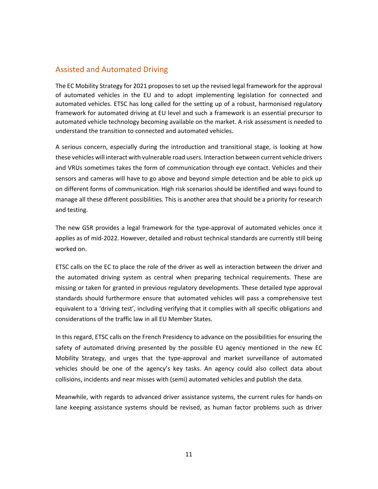#### Assisted and Automated Driving

The EC Mobility Strategy for 2021 proposes to set up the revised legal framework for the approval of automated vehicles in the EU and to adopt implementing legislation for connected and automated vehicles. ETSC has long called for the setting up of a robust, harmonised regulatory framework for automated driving at EU level and such a framework is an essential precursor to automated vehicle technology becoming available on the market. A risk assessment is needed to understand the transition to connected and automated vehicles.

A serious concern, especially during the introduction and transitional stage, is looking at how these vehicles will interact with vulnerable road users. Interaction between current vehicle drivers and VRUs sometimes takes the form of communication through eye contact. Vehicles and their sensors and cameras will have to go above and beyond simple detection and be able to pick up on different forms of communication. High risk scenarios should be identified and ways found to manage all these different possibilities. This is another area that should be a priority for research and testing.

The new GSR provides a legal framework for the type-approval of automated vehicles once it applies as of mid-2022. However, detailed and robust technical standards are currently still being worked on.

ETSC calls on the EC to place the role of the driver as well as interaction between the driver and the automated driving system as central when preparing technical requirements. These are missing or taken for granted in previous regulatory developments. These detailed type approval standards should furthermore ensure that automated vehicles will pass a comprehensive test equivalent to a 'driving test', including verifying that it complies with all specific obligations and considerations of the traffic law in all EU Member States.

In this regard, ETSC calls on the French Presidency to advance on the possibilities for ensuring the safety of automated driving presented by the possible EU agency mentioned in the new EC Mobility Strategy, and urges that the type-approval and market surveillance of automated vehicles should be one of the agency's key tasks. An agency could also collect data about collisions, incidents and near misses with (semi) automated vehicles and publish the data.

Meanwhile, with regards to advanced driver assistance systems, the current rules for hands-on lane keeping assistance systems should be revised, as human factor problems such as driver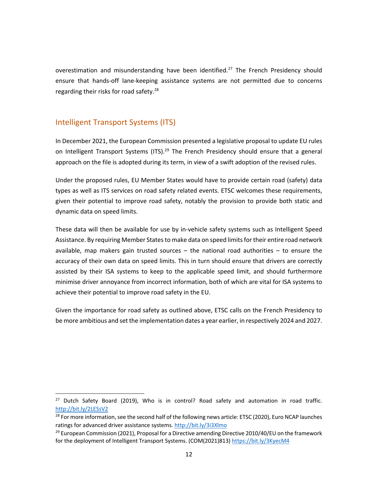overestimation and misunderstanding have been identified.<sup>27</sup> The French Presidency should ensure that hands-off lane-keeping assistance systems are not permitted due to concerns regarding their risks for road safety.<sup>28</sup>

#### Intelligent Transport Systems (ITS)

In December 2021, the European Commission presented a legislative proposal to update EU rules on Intelligent Transport Systems (ITS).<sup>29</sup> The French Presidency should ensure that a general approach on the file is adopted during its term, in view of a swift adoption of the revised rules.

Under the proposed rules, EU Member States would have to provide certain road (safety) data types as well as ITS services on road safety related events. ETSC welcomes these requirements, given their potential to improve road safety, notably the provision to provide both static and dynamic data on speed limits.

These data will then be available for use by in-vehicle safety systems such as Intelligent Speed Assistance. By requiring Member States to make data on speed limits for their entire road network available, map makers gain trusted sources – the national road authorities – to ensure the accuracy of their own data on speed limits. This in turn should ensure that drivers are correctly assisted by their ISA systems to keep to the applicable speed limit, and should furthermore minimise driver annoyance from incorrect information, both of which are vital for ISA systems to achieve their potential to improve road safety in the EU.

Given the importance for road safety as outlined above, ETSC calls on the French Presidency to be more ambitious and set the implementation dates a year earlier, in respectively 2024 and 2027.

<sup>&</sup>lt;sup>27</sup> Dutch Safety Board (2019), Who is in control? Road safety and automation in road traffic. http://bit.ly/2LESsV2

<sup>&</sup>lt;sup>28</sup> For more information, see the second half of the following news article: ETSC (2020), Euro NCAP launches ratings for advanced driver assistance systems. http://bit.ly/3i3Xlmo

<sup>&</sup>lt;sup>29</sup> European Commission (2021), Proposal for a Directive amending Directive 2010/40/EU on the framework for the deployment of Intelligent Transport Systems. (COM(2021)813) https://bit.ly/3KyecM4